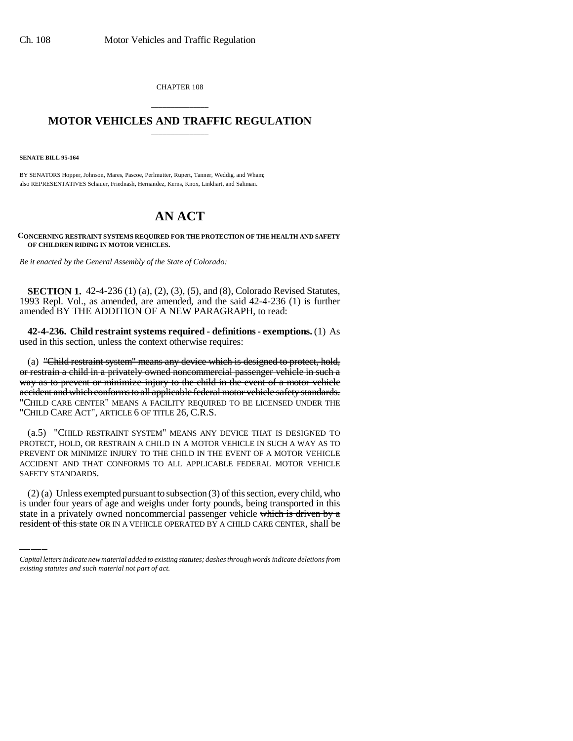CHAPTER 108

## \_\_\_\_\_\_\_\_\_\_\_\_\_\_\_ **MOTOR VEHICLES AND TRAFFIC REGULATION** \_\_\_\_\_\_\_\_\_\_\_\_\_\_\_

**SENATE BILL 95-164**

BY SENATORS Hopper, Johnson, Mares, Pascoe, Perlmutter, Rupert, Tanner, Weddig, and Wham; also REPRESENTATIVES Schauer, Friednash, Hernandez, Kerns, Knox, Linkhart, and Saliman.

## **AN ACT**

**CONCERNING RESTRAINT SYSTEMS REQUIRED FOR THE PROTECTION OF THE HEALTH AND SAFETY OF CHILDREN RIDING IN MOTOR VEHICLES.**

*Be it enacted by the General Assembly of the State of Colorado:*

**SECTION 1.** 42-4-236 (1) (a), (2), (3), (5), and (8), Colorado Revised Statutes, 1993 Repl. Vol., as amended, are amended, and the said 42-4-236 (1) is further amended BY THE ADDITION OF A NEW PARAGRAPH, to read:

**42-4-236. Child restraint systems required - definitions - exemptions.** (1) As used in this section, unless the context otherwise requires:

(a) "Child restraint system" means any device which is designed to protect, hold, or restrain a child in a privately owned noncommercial passenger vehicle in such a way as to prevent or minimize injury to the child in the event of a motor vehicle accident and which conforms to all applicable federal motor vehicle safety standards. "CHILD CARE CENTER" MEANS A FACILITY REQUIRED TO BE LICENSED UNDER THE "CHILD CARE ACT", ARTICLE 6 OF TITLE 26, C.R.S.

SAFETY STANDARDS. (a.5) "CHILD RESTRAINT SYSTEM" MEANS ANY DEVICE THAT IS DESIGNED TO PROTECT, HOLD, OR RESTRAIN A CHILD IN A MOTOR VEHICLE IN SUCH A WAY AS TO PREVENT OR MINIMIZE INJURY TO THE CHILD IN THE EVENT OF A MOTOR VEHICLE ACCIDENT AND THAT CONFORMS TO ALL APPLICABLE FEDERAL MOTOR VEHICLE

(2) (a) Unless exempted pursuant to subsection (3) of this section, every child, who is under four years of age and weighs under forty pounds, being transported in this state in a privately owned noncommercial passenger vehicle which is driven by a resident of this state OR IN A VEHICLE OPERATED BY A CHILD CARE CENTER, shall be

*Capital letters indicate new material added to existing statutes; dashes through words indicate deletions from existing statutes and such material not part of act.*